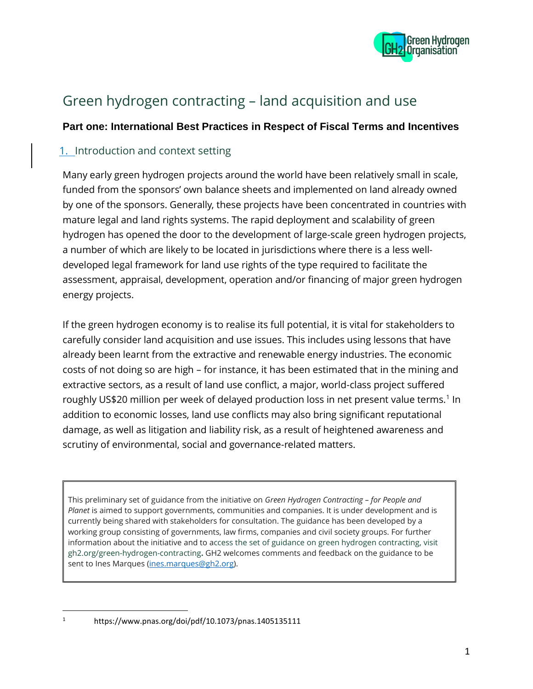

# Green hydrogen contracting – land acquisition and use

# **Part one: International Best Practices in Respect of Fiscal Terms and Incentives**

# 1. Introduction and context setting

Many early green hydrogen projects around the world have been relatively small in scale, funded from the sponsors' own balance sheets and implemented on land already owned by one of the sponsors. Generally, these projects have been concentrated in countries with mature legal and land rights systems. The rapid deployment and scalability of green hydrogen has opened the door to the development of large-scale green hydrogen projects, a number of which are likely to be located in jurisdictions where there is a less welldeveloped legal framework for land use rights of the type required to facilitate the assessment, appraisal, development, operation and/or financing of major green hydrogen energy projects.

If the green hydrogen economy is to realise its full potential, it is vital for stakeholders to carefully consider land acquisition and use issues. This includes using lessons that have already been learnt from the extractive and renewable energy industries. The economic costs of not doing so are high – for instance, it has been estimated that in the mining and extractive sectors, as a result of land use conflict, a major, world-class project suffered roughly US\$20 million per week of delayed production loss in net present value terms.<sup>1</sup> In addition to economic losses, land use conflicts may also bring significant reputational damage, as well as litigation and liability risk, as a result of heightened awareness and scrutiny of environmental, social and governance-related matters.

This preliminary set of guidance from the initiative on *Green Hydrogen Contracting – for People and Planet* is aimed to support governments, communities and companies. It is under development and is currently being shared with stakeholders for consultation. The guidance has been developed by a working group consisting of governments, law firms, companies and civil society groups. For further information about the initiative and to access the set of guidance on green hydrogen contracting, visit gh2.org/green-hydrogen-contracting**.** GH2 welcomes comments and feedback on the guidance to be sent to Ines Marques [\(ines.marques@gh2.org\)](mailto:ines.marques@gh2.org).

<sup>1</sup> https://www.pnas.org/doi/pdf/10.1073/pnas.1405135111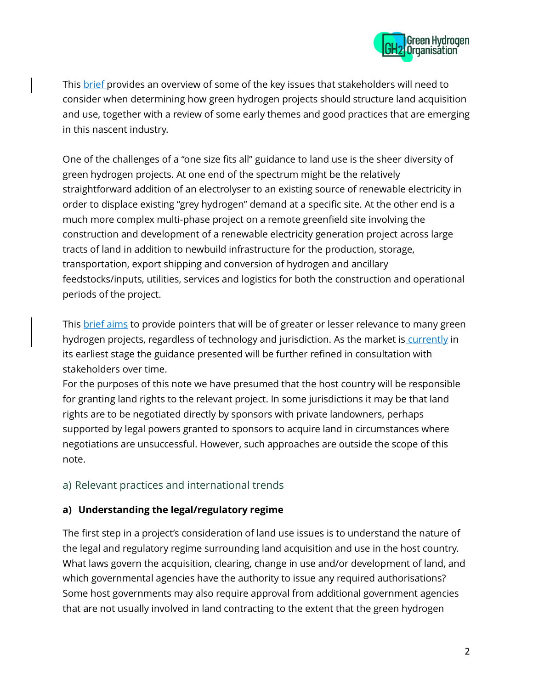

This **brief** provides an overview of some of the key issues that stakeholders will need to consider when determining how green hydrogen projects should structure land acquisition and use, together with a review of some early themes and good practices that are emerging in this nascent industry.

One of the challenges of a "one size fits all" guidance to land use is the sheer diversity of green hydrogen projects. At one end of the spectrum might be the relatively straightforward addition of an electrolyser to an existing source of renewable electricity in order to displace existing "grey hydrogen" demand at a specific site. At the other end is a much more complex multi-phase project on a remote greenfield site involving the construction and development of a renewable electricity generation project across large tracts of land in addition to newbuild infrastructure for the production, storage, transportation, export shipping and conversion of hydrogen and ancillary feedstocks/inputs, utilities, services and logistics for both the construction and operational periods of the project.

This **brief aims** to provide pointers that will be of greater or lesser relevance to many green hydrogen projects, regardless of technology and jurisdiction. As the market is currently in its earliest stage the guidance presented will be further refined in consultation with stakeholders over time.

For the purposes of this note we have presumed that the host country will be responsible for granting land rights to the relevant project. In some jurisdictions it may be that land rights are to be negotiated directly by sponsors with private landowners, perhaps supported by legal powers granted to sponsors to acquire land in circumstances where negotiations are unsuccessful. However, such approaches are outside the scope of this note.

# a) Relevant practices and international trends

## **a) Understanding the legal/regulatory regime**

The first step in a project's consideration of land use issues is to understand the nature of the legal and regulatory regime surrounding land acquisition and use in the host country. What laws govern the acquisition, clearing, change in use and/or development of land, and which governmental agencies have the authority to issue any required authorisations? Some host governments may also require approval from additional government agencies that are not usually involved in land contracting to the extent that the green hydrogen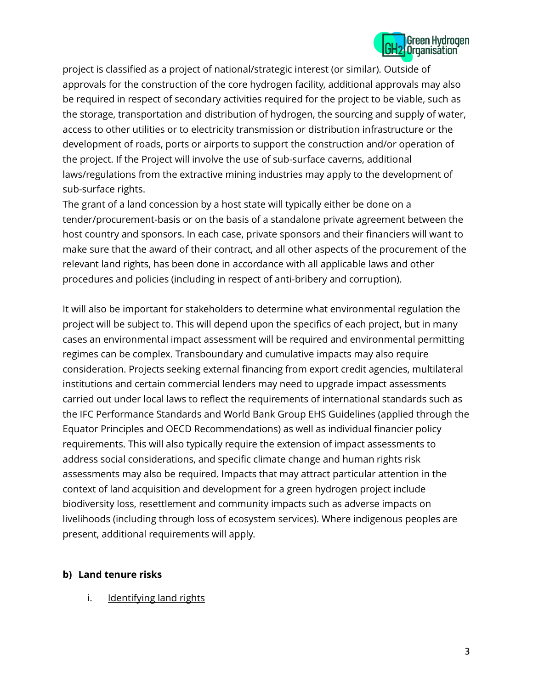

project is classified as a project of national/strategic interest (or similar). Outside of approvals for the construction of the core hydrogen facility, additional approvals may also be required in respect of secondary activities required for the project to be viable, such as the storage, transportation and distribution of hydrogen, the sourcing and supply of water, access to other utilities or to electricity transmission or distribution infrastructure or the development of roads, ports or airports to support the construction and/or operation of the project. If the Project will involve the use of sub-surface caverns, additional laws/regulations from the extractive mining industries may apply to the development of sub-surface rights.

The grant of a land concession by a host state will typically either be done on a tender/procurement-basis or on the basis of a standalone private agreement between the host country and sponsors. In each case, private sponsors and their financiers will want to make sure that the award of their contract, and all other aspects of the procurement of the relevant land rights, has been done in accordance with all applicable laws and other procedures and policies (including in respect of anti-bribery and corruption).

It will also be important for stakeholders to determine what environmental regulation the project will be subject to. This will depend upon the specifics of each project, but in many cases an environmental impact assessment will be required and environmental permitting regimes can be complex. Transboundary and cumulative impacts may also require consideration. Projects seeking external financing from export credit agencies, multilateral institutions and certain commercial lenders may need to upgrade impact assessments carried out under local laws to reflect the requirements of international standards such as the IFC Performance Standards and World Bank Group EHS Guidelines (applied through the Equator Principles and OECD Recommendations) as well as individual financier policy requirements. This will also typically require the extension of impact assessments to address social considerations, and specific climate change and human rights risk assessments may also be required. Impacts that may attract particular attention in the context of land acquisition and development for a green hydrogen project include biodiversity loss, resettlement and community impacts such as adverse impacts on livelihoods (including through loss of ecosystem services). Where indigenous peoples are present, additional requirements will apply.

#### **b) Land tenure risks**

i. Identifying land rights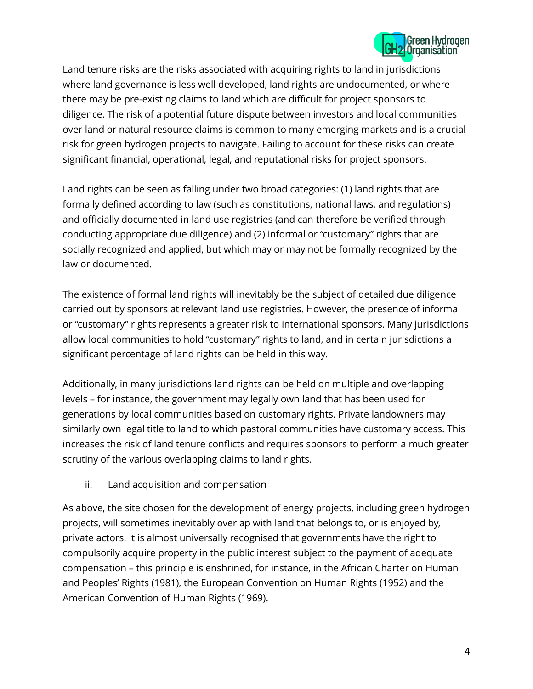

Land tenure risks are the risks associated with acquiring rights to land in jurisdictions where land governance is less well developed, land rights are undocumented, or where there may be pre-existing claims to land which are difficult for project sponsors to diligence. The risk of a potential future dispute between investors and local communities over land or natural resource claims is common to many emerging markets and is a crucial risk for green hydrogen projects to navigate. Failing to account for these risks can create significant financial, operational, legal, and reputational risks for project sponsors.

Land rights can be seen as falling under two broad categories: (1) land rights that are formally defined according to law (such as constitutions, national laws, and regulations) and officially documented in land use registries (and can therefore be verified through conducting appropriate due diligence) and (2) informal or "customary" rights that are socially recognized and applied, but which may or may not be formally recognized by the law or documented.

The existence of formal land rights will inevitably be the subject of detailed due diligence carried out by sponsors at relevant land use registries. However, the presence of informal or "customary" rights represents a greater risk to international sponsors. Many jurisdictions allow local communities to hold "customary" rights to land, and in certain jurisdictions a significant percentage of land rights can be held in this way.

Additionally, in many jurisdictions land rights can be held on multiple and overlapping levels – for instance, the government may legally own land that has been used for generations by local communities based on customary rights. Private landowners may similarly own legal title to land to which pastoral communities have customary access. This increases the risk of land tenure conflicts and requires sponsors to perform a much greater scrutiny of the various overlapping claims to land rights.

## ii. Land acquisition and compensation

As above, the site chosen for the development of energy projects, including green hydrogen projects, will sometimes inevitably overlap with land that belongs to, or is enjoyed by, private actors. It is almost universally recognised that governments have the right to compulsorily acquire property in the public interest subject to the payment of adequate compensation – this principle is enshrined, for instance, in the African Charter on Human and Peoples' Rights (1981), the European Convention on Human Rights (1952) and the American Convention of Human Rights (1969).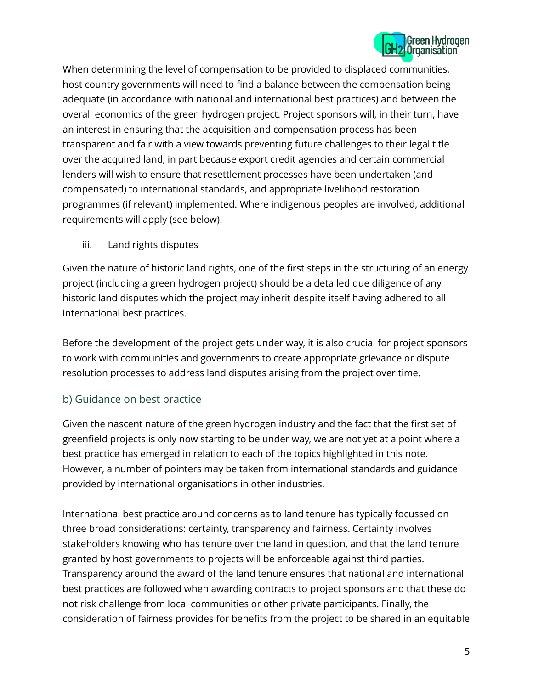

When determining the level of compensation to be provided to displaced communities, host country governments will need to find a balance between the compensation being adequate (in accordance with national and international best practices) and between the overall economics of the green hydrogen project. Project sponsors will, in their turn, have an interest in ensuring that the acquisition and compensation process has been transparent and fair with a view towards preventing future challenges to their legal title over the acquired land, in part because export credit agencies and certain commercial lenders will wish to ensure that resettlement processes have been undertaken (and compensated) to international standards, and appropriate livelihood restoration programmes (if relevant) implemented. Where indigenous peoples are involved, additional requirements will apply (see below).

#### iii. Land rights disputes

Given the nature of historic land rights, one of the first steps in the structuring of an energy project (including a green hydrogen project) should be a detailed due diligence of any historic land disputes which the project may inherit despite itself having adhered to all international best practices.

Before the development of the project gets under way, it is also crucial for project sponsors to work with communities and governments to create appropriate grievance or dispute resolution processes to address land disputes arising from the project over time.

# b) Guidance on best practice

Given the nascent nature of the green hydrogen industry and the fact that the first set of greenfield projects is only now starting to be under way, we are not yet at a point where a best practice has emerged in relation to each of the topics highlighted in this note. However, a number of pointers may be taken from international standards and guidance provided by international organisations in other industries.

International best practice around concerns as to land tenure has typically focussed on three broad considerations: certainty, transparency and fairness. Certainty involves stakeholders knowing who has tenure over the land in question, and that the land tenure granted by host governments to projects will be enforceable against third parties. Transparency around the award of the land tenure ensures that national and international best practices are followed when awarding contracts to project sponsors and that these do not risk challenge from local communities or other private participants. Finally, the consideration of fairness provides for benefits from the project to be shared in an equitable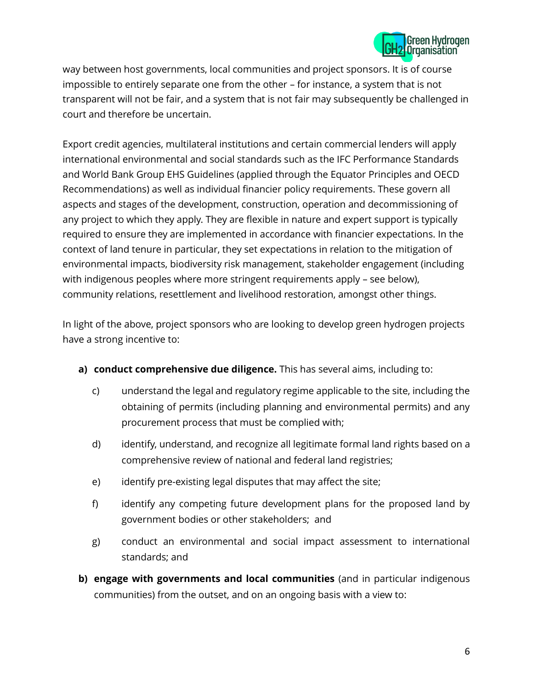

way between host governments, local communities and project sponsors. It is of course impossible to entirely separate one from the other – for instance, a system that is not transparent will not be fair, and a system that is not fair may subsequently be challenged in court and therefore be uncertain.

Export credit agencies, multilateral institutions and certain commercial lenders will apply international environmental and social standards such as the IFC Performance Standards and World Bank Group EHS Guidelines (applied through the Equator Principles and OECD Recommendations) as well as individual financier policy requirements. These govern all aspects and stages of the development, construction, operation and decommissioning of any project to which they apply. They are flexible in nature and expert support is typically required to ensure they are implemented in accordance with financier expectations. In the context of land tenure in particular, they set expectations in relation to the mitigation of environmental impacts, biodiversity risk management, stakeholder engagement (including with indigenous peoples where more stringent requirements apply – see below), community relations, resettlement and livelihood restoration, amongst other things.

In light of the above, project sponsors who are looking to develop green hydrogen projects have a strong incentive to:

- **a) conduct comprehensive due diligence.** This has several aims, including to:
	- c) understand the legal and regulatory regime applicable to the site, including the obtaining of permits (including planning and environmental permits) and any procurement process that must be complied with;
	- d) identify, understand, and recognize all legitimate formal land rights based on a comprehensive review of national and federal land registries;
	- e) identify pre-existing legal disputes that may affect the site;
	- f) identify any competing future development plans for the proposed land by government bodies or other stakeholders; and
	- g) conduct an environmental and social impact assessment to international standards; and
- **b) engage with governments and local communities** (and in particular indigenous communities) from the outset, and on an ongoing basis with a view to: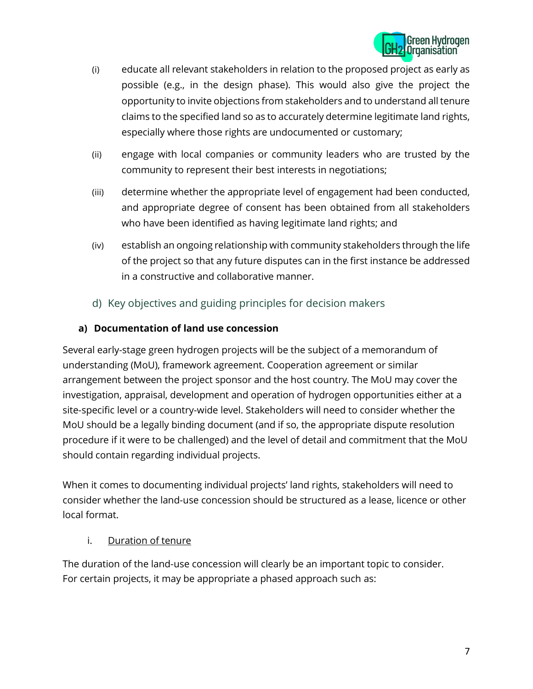

- (i) educate all relevant stakeholders in relation to the proposed project as early as possible (e.g., in the design phase). This would also give the project the opportunity to invite objections from stakeholders and to understand all tenure claims to the specified land so as to accurately determine legitimate land rights, especially where those rights are undocumented or customary;
- (ii) engage with local companies or community leaders who are trusted by the community to represent their best interests in negotiations;
- (iii) determine whether the appropriate level of engagement had been conducted, and appropriate degree of consent has been obtained from all stakeholders who have been identified as having legitimate land rights; and
- (iv) establish an ongoing relationship with community stakeholders through the life of the project so that any future disputes can in the first instance be addressed in a constructive and collaborative manner.
- d) Key objectives and guiding principles for decision makers

# **a) Documentation of land use concession**

Several early-stage green hydrogen projects will be the subject of a memorandum of understanding (MoU), framework agreement. Cooperation agreement or similar arrangement between the project sponsor and the host country. The MoU may cover the investigation, appraisal, development and operation of hydrogen opportunities either at a site-specific level or a country-wide level. Stakeholders will need to consider whether the MoU should be a legally binding document (and if so, the appropriate dispute resolution procedure if it were to be challenged) and the level of detail and commitment that the MoU should contain regarding individual projects.

When it comes to documenting individual projects' land rights, stakeholders will need to consider whether the land-use concession should be structured as a lease, licence or other local format.

## i. Duration of tenure

The duration of the land-use concession will clearly be an important topic to consider. For certain projects, it may be appropriate a phased approach such as: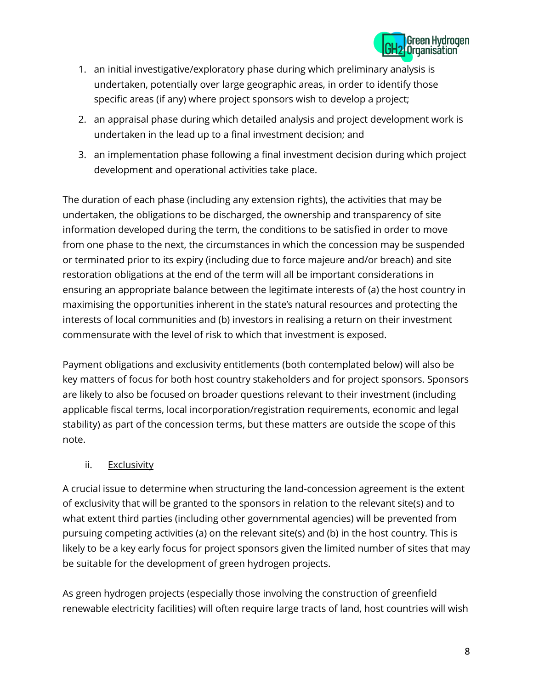

- 1. an initial investigative/exploratory phase during which preliminary analysis is undertaken, potentially over large geographic areas, in order to identify those specific areas (if any) where project sponsors wish to develop a project;
- 2. an appraisal phase during which detailed analysis and project development work is undertaken in the lead up to a final investment decision; and
- 3. an implementation phase following a final investment decision during which project development and operational activities take place.

The duration of each phase (including any extension rights), the activities that may be undertaken, the obligations to be discharged, the ownership and transparency of site information developed during the term, the conditions to be satisfied in order to move from one phase to the next, the circumstances in which the concession may be suspended or terminated prior to its expiry (including due to force majeure and/or breach) and site restoration obligations at the end of the term will all be important considerations in ensuring an appropriate balance between the legitimate interests of (a) the host country in maximising the opportunities inherent in the state's natural resources and protecting the interests of local communities and (b) investors in realising a return on their investment commensurate with the level of risk to which that investment is exposed.

Payment obligations and exclusivity entitlements (both contemplated below) will also be key matters of focus for both host country stakeholders and for project sponsors. Sponsors are likely to also be focused on broader questions relevant to their investment (including applicable fiscal terms, local incorporation/registration requirements, economic and legal stability) as part of the concession terms, but these matters are outside the scope of this note.

## ii. Exclusivity

A crucial issue to determine when structuring the land-concession agreement is the extent of exclusivity that will be granted to the sponsors in relation to the relevant site(s) and to what extent third parties (including other governmental agencies) will be prevented from pursuing competing activities (a) on the relevant site(s) and (b) in the host country. This is likely to be a key early focus for project sponsors given the limited number of sites that may be suitable for the development of green hydrogen projects.

As green hydrogen projects (especially those involving the construction of greenfield renewable electricity facilities) will often require large tracts of land, host countries will wish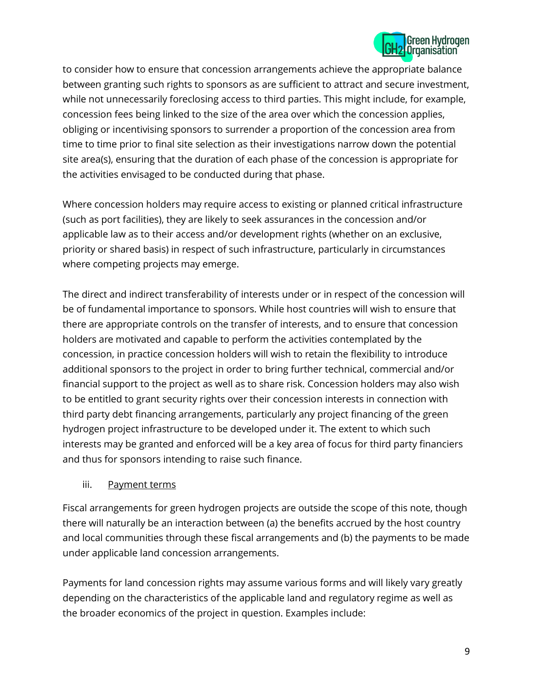

to consider how to ensure that concession arrangements achieve the appropriate balance between granting such rights to sponsors as are sufficient to attract and secure investment, while not unnecessarily foreclosing access to third parties. This might include, for example, concession fees being linked to the size of the area over which the concession applies, obliging or incentivising sponsors to surrender a proportion of the concession area from time to time prior to final site selection as their investigations narrow down the potential site area(s), ensuring that the duration of each phase of the concession is appropriate for the activities envisaged to be conducted during that phase.

Where concession holders may require access to existing or planned critical infrastructure (such as port facilities), they are likely to seek assurances in the concession and/or applicable law as to their access and/or development rights (whether on an exclusive, priority or shared basis) in respect of such infrastructure, particularly in circumstances where competing projects may emerge.

The direct and indirect transferability of interests under or in respect of the concession will be of fundamental importance to sponsors. While host countries will wish to ensure that there are appropriate controls on the transfer of interests, and to ensure that concession holders are motivated and capable to perform the activities contemplated by the concession, in practice concession holders will wish to retain the flexibility to introduce additional sponsors to the project in order to bring further technical, commercial and/or financial support to the project as well as to share risk. Concession holders may also wish to be entitled to grant security rights over their concession interests in connection with third party debt financing arrangements, particularly any project financing of the green hydrogen project infrastructure to be developed under it. The extent to which such interests may be granted and enforced will be a key area of focus for third party financiers and thus for sponsors intending to raise such finance.

#### iii. Payment terms

Fiscal arrangements for green hydrogen projects are outside the scope of this note, though there will naturally be an interaction between (a) the benefits accrued by the host country and local communities through these fiscal arrangements and (b) the payments to be made under applicable land concession arrangements.

Payments for land concession rights may assume various forms and will likely vary greatly depending on the characteristics of the applicable land and regulatory regime as well as the broader economics of the project in question. Examples include: